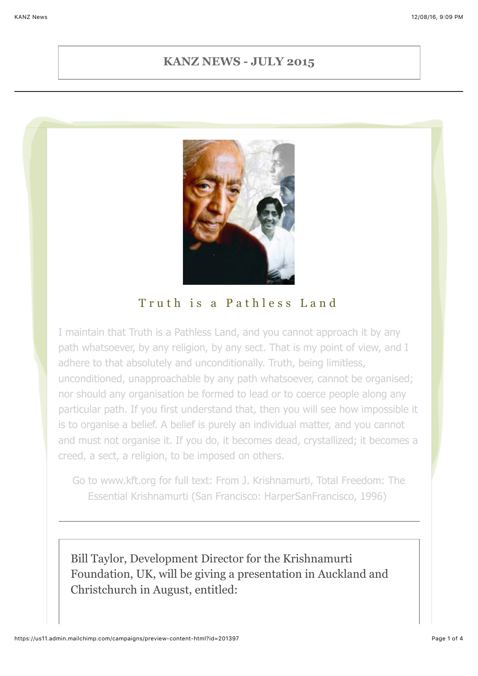#### **KANZ NEWS - JULY 2015**



#### Truth is a Pathless Land

I maintain that Truth is a Pathless Land, and you cannot approach it by any path whatsoever, by any religion, by any sect. That is my point of view, and I adhere to that absolutely and unconditionally. Truth, being limitless, unconditioned, unapproachable by any path whatsoever, cannot be organised; nor should any organisation be formed to lead or to coerce people along any particular path. If you first understand that, then you will see how impossible it is to organise a belief. A belief is purely an individual matter, and you cannot and must not organise it. If you do, it becomes dead, crystallized; it becomes a creed, a sect, a religion, to be imposed on others.

Go to www.kft.org for full text: From J. Krishnamurti, Total Freedom: The Essential Krishnamurti (San Francisco: HarperSanFrancisco, 1996)

Bill Taylor, Development Director for the Krishnamurti Foundation, UK, will be giving a presentation in Auckland and Christchurch in August, entitled: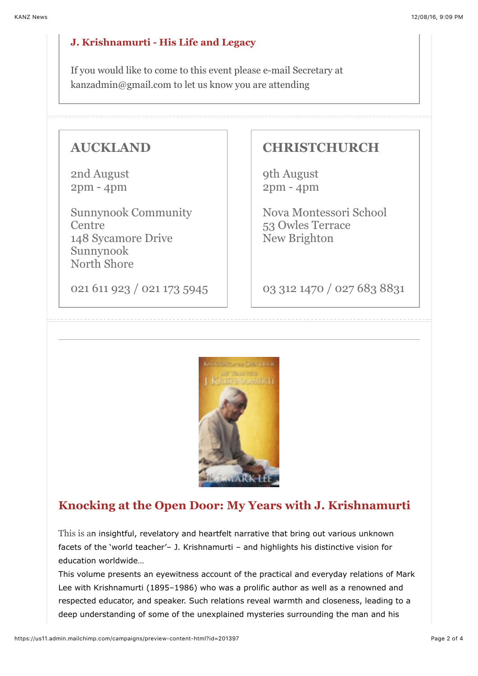#### **J. Krishnamurti - His Life and Legacy**

If you would like to come to this event please e-mail Secretary at kanzadmin@gmail.com to let us know you are attending

#### **AUCKLAND**

2nd August 2pm - 4pm

Sunnynook Community Centre 148 Sycamore Drive Sunnynook North Shore

021 611 923 / 021 173 5945

#### **CHRISTCHURCH**

9th August 2pm - 4pm

Nova Montessori School 53 Owles Terrace New Brighton

03 312 1470 / 027 683 8831



### **Knocking at the Open Door: My Years with J. Krishnamurti**

This is an insightful, revelatory and heartfelt narrative that bring out various unknown facets of the 'world teacher'– J. Krishnamurti – and highlights his distinctive vision for education worldwide…

This volume presents an eyewitness account of the practical and everyday relations of Mark Lee with Krishnamurti (1895–1986) who was a prolific author as well as a renowned and respected educator, and speaker. Such relations reveal warmth and closeness, leading to a deep understanding of some of the unexplained mysteries surrounding the man and his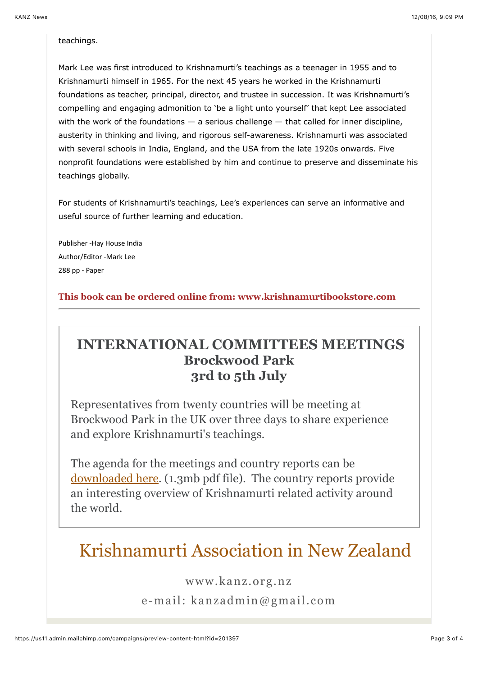#### teachings.

Mark Lee was first introduced to Krishnamurti's teachings as a teenager in 1955 and to Krishnamurti himself in 1965. For the next 45 years he worked in the Krishnamurti foundations as teacher, principal, director, and trustee in succession. It was Krishnamurti's compelling and engaging admonition to 'be a light unto yourself' that kept Lee associated with the work of the foundations  $-$  a serious challenge  $-$  that called for inner discipline, austerity in thinking and living, and rigorous self-awareness. Krishnamurti was associated with several schools in India, England, and the USA from the late 1920s onwards. Five nonprofit foundations were established by him and continue to preserve and disseminate his teachings globally.

For students of Krishnamurti's teachings, Lee's experiences can serve an informative and useful source of further learning and education.

Publisher -Hay House India Author/Editor -Mark Lee 288 pp - Paper

**This book can be ordered online from: www.krishnamurtibookstore.com**

## **INTERNATIONAL COMMITTEES MEETINGS Brockwood Park 3rd to 5th July**

Representatives from twenty countries will be meeting at Brockwood Park in the UK over three days to share experience and explore Krishnamurti's teachings.

The agenda for the meetings and country reports can be [downloaded here](https://gallery.mailchimp.com/bf029bf7e2c8fc77ef022e92c/files/International_Committees_Meeting_2015.pdf). (1.3mb pdf file). The country reports provide an interesting overview of Krishnamurti related activity around the world.

# Krishnamurti Association in New Zealand

www.kanz.org.nz

e-mail: kanzadmin@gmail.com